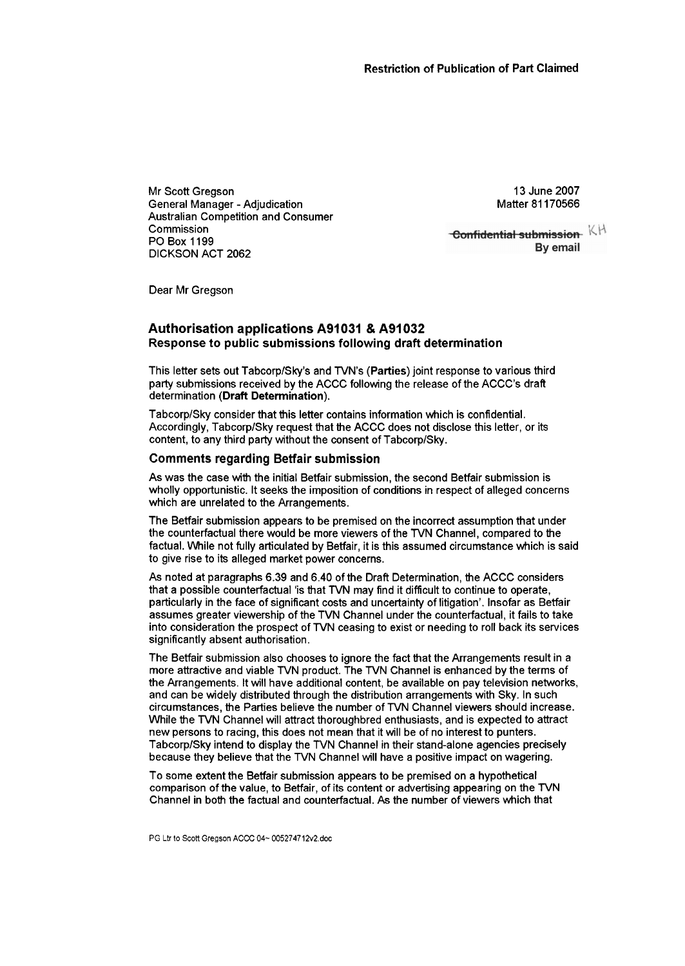Mr Scott Gregson General Manager - Adjudication Australian Competition and Consumer Commission PO Box 1 199 DICKSON ACT 2062

13 June 2007 Matter 81 170566

**Confidential submission** KH By email

Dear Mr Gregson

# **Authorisation applications A91 031** & **A91 032 Response to public submissions following draft determination**

This letter sets out TabcorplSky's and TVN's (Parties) joint response to various third party submissions received by the ACCC following the release of the ACCC's draft determination **(Draft** Determination).

TabcorplSky consider that this letter contains information which is confidential. Accordingly, Tabcorp/Sky request that the ACCC does not disclose this letter, or its content, to any third party without the consent of Tabcorp/Sky.

### **Comments regarding Betfair submission**

As was the case with the initial Beffiir submission, the second Betfair submission is wholly opportunistic. It seeks the imposition of conditions in respect of alleged concerns which are unrelated to the Arrangements.

The Betfair submission appears to be premised on the incorrect assumption that under the counterfactual there would be more viewers of the TVN Channel, compared to the factual. While not fully articulated by Betfair, it is this assumed circumstance which is said to give rise to its alleged market power concerns.

As noted at paragraphs 6.39 and 6.40 of the Draft Determination, the ACCC considers that a possible counterfactual 'is that TVN may find it difficult to continue to operate, particularly in the face of significant costs and uncertainty of litigation'. Insofar as Betfair assumes greater viewership of the TVN Channel under the counterfactual, it fails to take into consideration the prospect of TVN ceasing to exist or needing to roll back its services significantly absent authorisation.

The Betfair submission also chooses to ignore the fact that the Arrangements result in a more attractive and viable TVN product. The TVN Channel is enhanced by the terms of the Arrangements. It will have additional content, be available on pay television networks, and can be widely distributed through the distribution arrangements with Sky. In such circumstances, the Parties believe the number of TVN Channel viewers should increase. While the TVN Channel will attract thoroughbred enthusiasts, and is expected to attract new persons to racing, this does not mean that it will be of no interest to punters. Tabcorp/Sky intend to display the TVN Channel in their stand-alone agencies preciselv because they believe that the TVN Channel will have a positive impact on wagering.

To some extent the Betfair submission appears to be premised on a hypothetical comparison of the value, to Betfair, of its content or advertising appearing on the TVN Channel in both the factual and counterfactual. As the number of viewers which that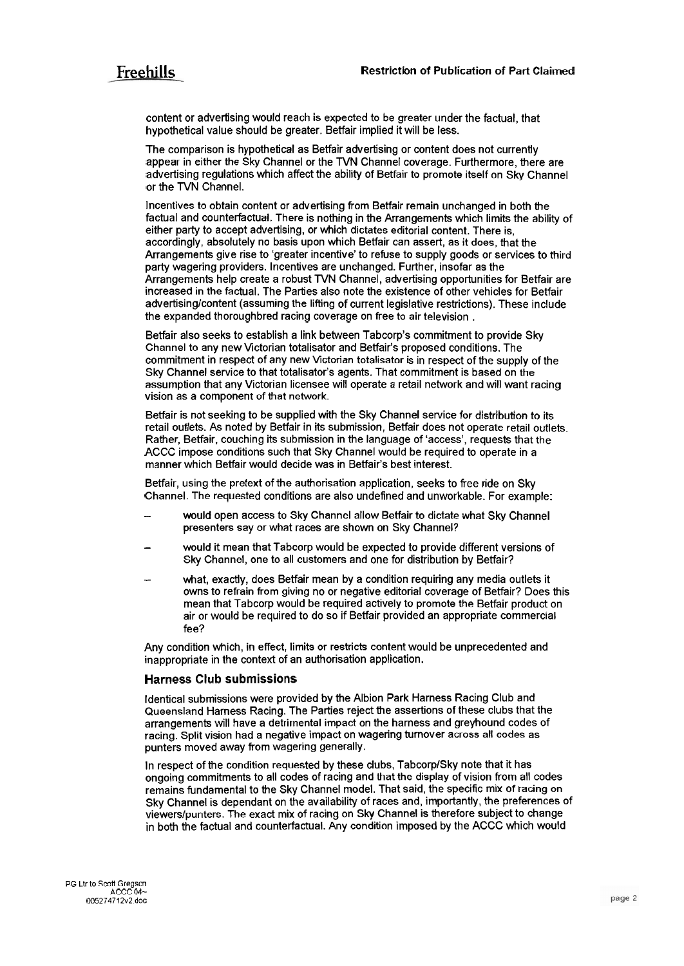content or advertising would reach is expected to be greater under the factual, that hypothetical value should be greater. Betfair implied it will be less.

The comparison is hypothetical as Betfair advertising or content does not currently appear in either the Sky Channel or the TVN Channel coverage. Furthermore, there are advertising regulations which affect the ability of Betfair to promote itself on Sky Channel or the TVN Channel.

lncentives to obtain content or advertising from Betfair remain unchanged in both the factual and counterfactual. There is nothing in the Arrangements which limits the ability of either party to accept advertising, or which dictates editorial content. There is, accordingly, absolutely no basis upon which Betfair can assert, as it does, that the Arrangements give rise to 'greater incentive' to refuse to supply goods or services to third party wagering providers. Incentives are unchanged. Further, insofar as the Arrangements help create a robust TVN Channel, advertising opportunities for Betfair are increased in the factual. The Parties also note the existence of other vehicles for Betfair advertising/content (assuming the lifting of current legislative restrictions). These include the expanded thoroughbred racing coverage on free to air television .

Betfair also seeks to establish a link between Tabcorp's commitment to provide Sky Channel to any new Victorian totalisator and Betfair's proposed conditions. The commitment in respect of any new Victorian totalisator is in respect of the supply of the Sky Channel service to that totalisator's agents. That commitment is based on the assumption that any Victorian licensee will operate a retail network and will want racing vision as a component of that network.

Betfair is not seeking to be supplied with the Sky Channel service for distribution to its retail outlets. As noted by Betfair in its submission, Betfair does not operate retail outlets. Rather, Betfair, couching its submission in the language of 'access', requests that the ACCC impose conditions such that Sky Channel would be required to operate in a manner which Betfair would decide was in Betfair's best interest.

Betfair, using the pretext of the authorisation application, seeks to free ride on Sky Channel. The requested conditions are also undefined and unworkable. For example:

- would open access to Sky Channel allow Betfair to dictate what Sky Channel presenters say or what races are shown on Sky Channel?
- would it mean that Tabcorp would be expected to provide different versions of Sky Channel, one to all customers and one for distribution by Betfair?
- what, exactly, does Betfair mean by a condition requiring any media outlets it owns to refrain from giving no or negative editorial coverage of Betfair? Does this mean that Tabcorp would be required actively to promote the Betfair product on air or would be required to do so if Betfair provided an appropriate commercial fee?

Any condition which, in effect, limits or restricts content would be unprecedented and inappropriate in the context of an authorisation application.

## **Harness Club submissions**

Identical submissions were provided by the Albion Park Harness Racing Club and Queensland Harness Racing. The Parties reject the assertions of these clubs that the arrangements will have a detrimental impact on the harness and greyhound codes of racing. Split vision had a negative impact on wagering turnover across all codes as punters moved away from wagering generally.

In respect of the condition requested by these clubs, Tabcorp/Sky note that it has ongoing commitments to all codes of racing and that the display of vision from all codes remains fundamental to the Sky Channel model. That said, the specific mix of racing on Sky Channel is dependant on the availability of races and, importantly, the preferences of viewerslpunters. The exact mix of racing on Sky Channel is therefore subject to change in both the factual and counterfactual. Any condition imposed by the ACCC which would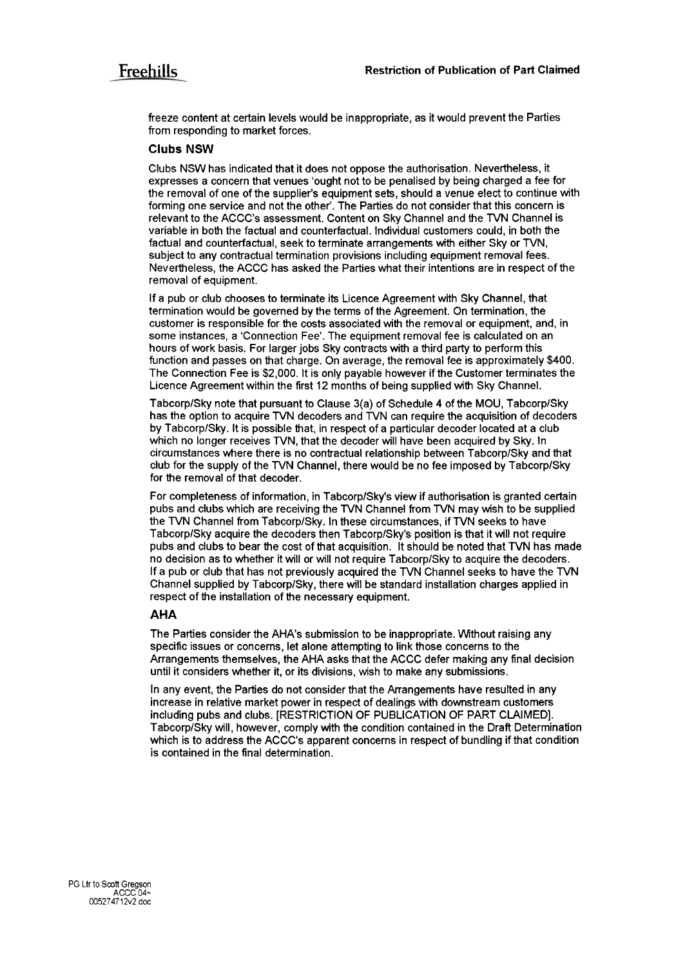freeze content at certain levels would be inappropriate, as it would prevent the Parties from responding to market forces.

### **Clubs NSW**

Clubs NSW has indicated that it does not oppose the authorisation. Nevertheless, it expresses a concern that venues 'ought not to be penalised by being charged a fee for the removal of one of the supplier's equipment sets, should a venue elect to continue with forming one service and not the other'. The Parties do not consider that this concern is relevant to the ACCC's assessment. Content on Sky Channel and the TVN Channel is variable in both the factual and counterfactual. Individual customers could, in both the factual and counterfactual, seek to terminate arrangements with either Sky or TVN, subject to any contractual termination provisions including equipment removal fees. Nevertheless, the ACCC has asked the Parties what their intentions are in respect of the removal of equipment.

If a pub or club chooses to terminate its Licence Agreement with Sky Channel, that termination would be governed by the terms of the Agreement. On termination, the customer is responsible for the costs associated with the removal or equipment, and, in some instances, a 'Connection Fee'. The equipment removal fee is calculated on an hours of work basis. For larger jobs Sky contracts with a third party to perform this function and passes on that charge. On average, the removal fee is approximately \$400. The Connection Fee is \$2,000. It is only payable however if the Customer terminates the Licence Agreement within the first 12 months of being supplied with Sky Channel.

TabcorplSky note that pursuant to Clause 3(a) of Schedule 4 of the MOU, TabcorplSky has the option to acquire TVN decoders and TVN can require the acquisition of decoders by TabcorplSky. It is possible that, in respect of a particular decoder located at a club which no longer receives TVN, that the decoder will have been acquired by Sky. In circumstances where there is no contractual relationship between Tabcorp/Sky and that club for the supply of the TVN Channel, there would be no fee imposed by Tabcorp/Sky for the removal of that decoder.

For completeness of information, in TabcorplSky's view if authorisation is granted certain pubs and clubs which are receiving the TVN Channel from TVN may wish to be supplied the TVN Channel from Tabcorp/Sky. In these circumstances, if TVN seeks to have Tabcorp/Sky acquire the decoders then Tabcorp/Sky's position is that it will not require pubs and clubs to bear the cost of that acquisition. It should be noted that TVN has made no decision as to whether it will or will not require TabcorpISky to acquire the decoders. If a pub or club that has not previously acquired the TVN Channel seeks to have the TVN Channel supplied by TabcorpISky, there will be standard installation charges applied in respect of the installation of the necessary equipment.

### **AHA**

The Parties consider the AHA'S submission to be inappropriate. Without raising any specific issues or concerns, let alone attempting to link those concerns to the Arrangements themselves, the AHA asks that the ACCC defer making any final decision until it considers whether it, or its divisions, wish to make any submissions.

In any event, the Parties do not consider that the Arrangements have resulted in any increase in relative market power in respect of dealings with downstream customers including pubs and clubs. [RESTRICTION OF PUBLICATION OF PART CLAIMED]. Tabcorp/Sky will, however, comply with the condition contained in the Draft Determination which is to address the ACCC's apparent concerns in respect of bundling if that condition is contained in the final determination.